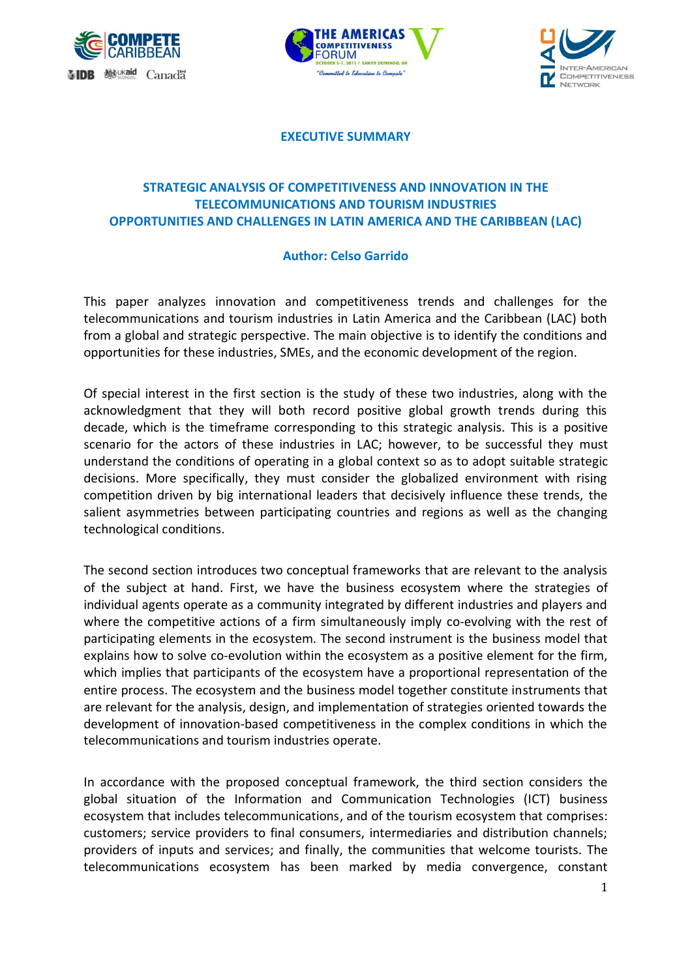





**EXECUTIVE SUMMARY**

## **STRATEGIC ANALYSIS OF COMPETITIVENESS AND INNOVATION IN THE TELECOMMUNICATIONS AND TOURISM INDUSTRIES OPPORTUNITIES AND CHALLENGES IN LATIN AMERICA AND THE CARIBBEAN (LAC)**

## **Author: Celso Garrido**

This paper analyzes innovation and competitiveness trends and challenges for the telecommunications and tourism industries in Latin America and the Caribbean (LAC) both from a global and strategic perspective. The main objective is to identify the conditions and opportunities for these industries, SMEs, and the economic development of the region.

Of special interest in the first section is the study of these two industries, along with the acknowledgment that they will both record positive global growth trends during this decade, which is the timeframe corresponding to this strategic analysis. This is a positive scenario for the actors of these industries in LAC; however, to be successful they must understand the conditions of operating in a global context so as to adopt suitable strategic decisions. More specifically, they must consider the globalized environment with rising competition driven by big international leaders that decisively influence these trends, the salient asymmetries between participating countries and regions as well as the changing technological conditions.

The second section introduces two conceptual frameworks that are relevant to the analysis of the subject at hand. First, we have the business ecosystem where the strategies of individual agents operate as a community integrated by different industries and players and where the competitive actions of a firm simultaneously imply co-evolving with the rest of participating elements in the ecosystem. The second instrument is the business model that explains how to solve co-evolution within the ecosystem as a positive element for the firm, which implies that participants of the ecosystem have a proportional representation of the entire process. The ecosystem and the business model together constitute instruments that are relevant for the analysis, design, and implementation of strategies oriented towards the development of innovation-based competitiveness in the complex conditions in which the telecommunications and tourism industries operate.

In accordance with the proposed conceptual framework, the third section considers the global situation of the Information and Communication Technologies (ICT) business ecosystem that includes telecommunications, and of the tourism ecosystem that comprises: customers; service providers to final consumers, intermediaries and distribution channels; providers of inputs and services; and finally, the communities that welcome tourists. The telecommunications ecosystem has been marked by media convergence, constant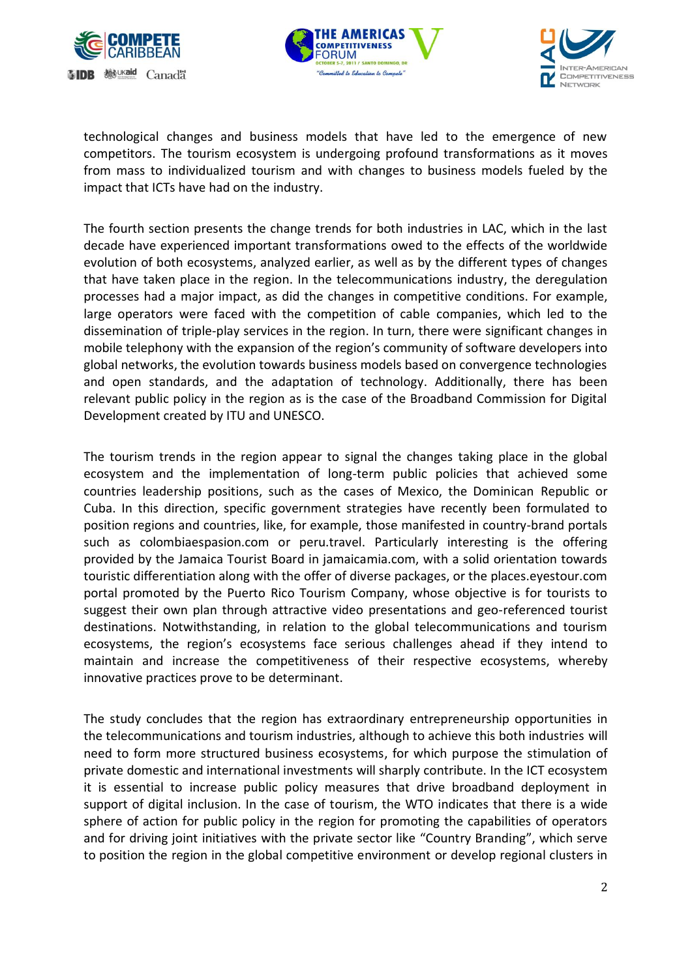





technological changes and business models that have led to the emergence of new competitors. The tourism ecosystem is undergoing profound transformations as it moves from mass to individualized tourism and with changes to business models fueled by the impact that ICTs have had on the industry.

The fourth section presents the change trends for both industries in LAC, which in the last decade have experienced important transformations owed to the effects of the worldwide evolution of both ecosystems, analyzed earlier, as well as by the different types of changes that have taken place in the region. In the telecommunications industry, the deregulation processes had a major impact, as did the changes in competitive conditions. For example, large operators were faced with the competition of cable companies, which led to the dissemination of triple-play services in the region. In turn, there were significant changes in mobile telephony with the expansion of the region's community of software developers into global networks, the evolution towards business models based on convergence technologies and open standards, and the adaptation of technology. Additionally, there has been relevant public policy in the region as is the case of the Broadband Commission for Digital Development created by ITU and UNESCO.

The tourism trends in the region appear to signal the changes taking place in the global ecosystem and the implementation of long-term public policies that achieved some countries leadership positions, such as the cases of Mexico, the Dominican Republic or Cuba. In this direction, specific government strategies have recently been formulated to position regions and countries, like, for example, those manifested in country-brand portals such as colombiaespasion.com or [peru.travel.](http://www.peru.travel/) Particularly interesting is the offering provided by the Jamaica Tourist Board in jamaicamia.com, with a solid orientation towards touristic differentiation along with the offer of diverse packages, or the places.eyestour.com portal promoted by the Puerto Rico Tourism Company, whose objective is for tourists to suggest their own plan through attractive video presentations and geo-referenced tourist destinations. Notwithstanding, in relation to the global telecommunications and tourism ecosystems, the region's ecosystems face serious challenges ahead if they intend to maintain and increase the competitiveness of their respective ecosystems, whereby innovative practices prove to be determinant.

The study concludes that the region has extraordinary entrepreneurship opportunities in the telecommunications and tourism industries, although to achieve this both industries will need to form more structured business ecosystems, for which purpose the stimulation of private domestic and international investments will sharply contribute. In the ICT ecosystem it is essential to increase public policy measures that drive broadband deployment in support of digital inclusion. In the case of tourism, the WTO indicates that there is a wide sphere of action for public policy in the region for promoting the capabilities of operators and for driving joint initiatives with the private sector like "Country Branding", which serve to position the region in the global competitive environment or develop regional clusters in